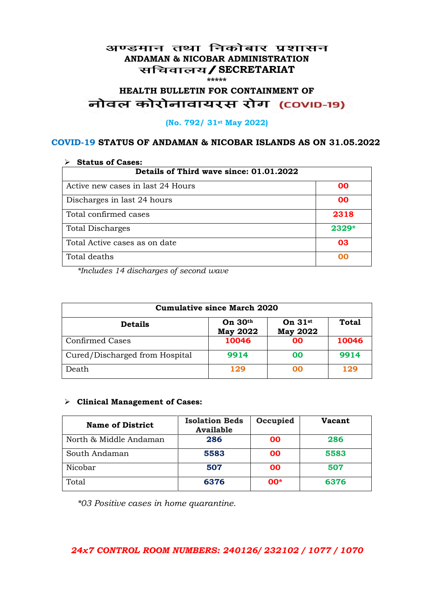#### अण्डमान तथा निकोबार प्रशासन **ANDAMAN & NICOBAR ADMINISTRATION /SECRETARIAT \*\*\*\*\***

# **HEALTH BULLETIN FOR CONTAINMENT OF**  नोवल कोरोनावायरस रोग (COVID-19)

#### **(No. 792/ 31st May 2022)**

#### **COVID-19 STATUS OF ANDAMAN & NICOBAR ISLANDS AS ON 31.05.2022**

| <b>Status of Cases:</b>                 |         |  |
|-----------------------------------------|---------|--|
| Details of Third wave since: 01.01.2022 |         |  |
| Active new cases in last 24 Hours       | 00      |  |
| Discharges in last 24 hours             | 00      |  |
| Total confirmed cases                   | 2318    |  |
| <b>Total Discharges</b>                 | $2329*$ |  |
| Total Active cases as on date           | 03      |  |
| Total deaths                            | OO      |  |

*\*Includes 14 discharges of second wave*

| <b>Cumulative since March 2020</b> |                            |                              |              |
|------------------------------------|----------------------------|------------------------------|--------------|
| <b>Details</b>                     | On 30th<br><b>May 2022</b> | On $31st$<br><b>May 2022</b> | <b>Total</b> |
| <b>Confirmed Cases</b>             | 10046                      | 00                           | 10046        |
| Cured/Discharged from Hospital     | 9914                       | 00                           | 9914         |
| Death                              | 129                        | ററ                           | 129          |

#### **Clinical Management of Cases:**

| <b>Name of District</b> | <b>Isolation Beds</b><br><b>Available</b> | Occupied  | Vacant |
|-------------------------|-------------------------------------------|-----------|--------|
| North & Middle Andaman  | 286                                       | <b>OO</b> | 286    |
| South Andaman           | 5583                                      | <b>OO</b> | 5583   |
| Nicobar                 | 507                                       | <b>OO</b> | 507    |
| Total                   | 6376                                      | $00*$     | 6376   |

*\*03 Positive cases in home quarantine.*

#### *24x7 CONTROL ROOM NUMBERS: 240126/ 232102 / 1077 / 1070*